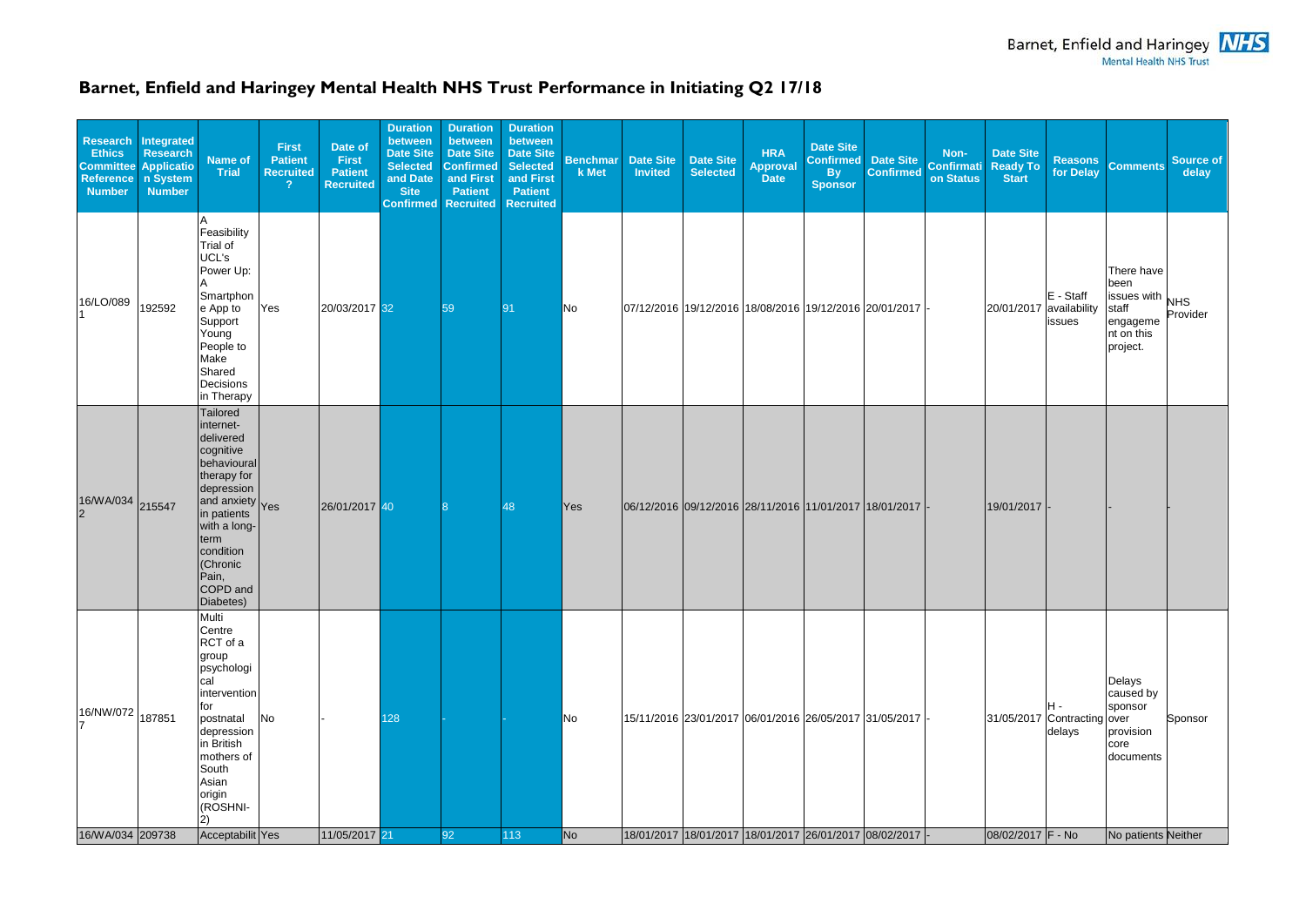## **Barnet, Enfield and Haringey Mental Health NHS Trust Performance in Initiating Q2 17/18**

|                                        |        |                                                                                                                                                                                                                          |     | <b>Recruited</b> | <b>Selected</b><br>and Date<br><b>Site</b><br><b>Confirmed</b> | <b>Confirmed</b><br>and First<br><b>Patient</b><br><b>Recruited</b> | <b>Date Site</b><br><b>Selected</b><br>and First<br><b>Patient</b><br><b>Recruited</b> | <b>Benchmar</b><br>k Met | Date Site<br><b>Invited</b> | <b>Date Site</b><br><b>Selected</b> | <b>HRA</b><br><b>Approval</b><br><b>Date</b> | <b>Date Site</b><br><b>Confirmed</b><br><b>By</b><br><b>Sponsor</b> | Date Site<br><b>Confirmed</b>                                                                                              | Non-<br><b>Confirmati</b><br>on Status | <b>Date Site</b><br>Ready To<br><b>Start</b>     | for Delay             | Reasons Comments                                                                                                 | <b>Source of</b><br>delay |
|----------------------------------------|--------|--------------------------------------------------------------------------------------------------------------------------------------------------------------------------------------------------------------------------|-----|------------------|----------------------------------------------------------------|---------------------------------------------------------------------|----------------------------------------------------------------------------------------|--------------------------|-----------------------------|-------------------------------------|----------------------------------------------|---------------------------------------------------------------------|----------------------------------------------------------------------------------------------------------------------------|----------------------------------------|--------------------------------------------------|-----------------------|------------------------------------------------------------------------------------------------------------------|---------------------------|
| 16/LO/089                              | 192592 | Feasibility<br>Trial of<br>UCL's<br>Power Up:<br>Smartphon<br>e App to<br>Support<br>Young<br>People to<br>Make<br>Shared<br>Decisions<br>in Therapy                                                                     | Yes | 20/03/2017 32    |                                                                | 59                                                                  | 91                                                                                     | No                       |                             |                                     |                                              |                                                                     | 07/12/2016 19/12/2016 18/08/2016 19/12/2016 20/01/2017 -                                                                   |                                        | 20/01/2017 availability                          | $E - Staff$<br>issues | There have<br>been<br>$\frac{20}{10}$ issues with $_{\text{NHS}}$<br>staff<br>engageme<br>nt on this<br>project. | Provider                  |
| 16/WA/034 215547                       |        | Tailored<br>internet-<br>delivered<br>cognitive<br>behavioural<br>therapy for<br>depression<br>and anxiety<br>in patients<br>with a long-<br>term<br>condition<br>(Chronic<br>Pain,<br>COPD and<br>Diabetes)             |     | 26/01/2017 40    |                                                                |                                                                     | 48                                                                                     | Yes                      |                             |                                     |                                              |                                                                     | 06/12/2016 09/12/2016 28/11/2016 11/01/2017 18/01/2017  -                                                                  |                                        | 19/01/2017                                       |                       |                                                                                                                  |                           |
| $16/NW/072$ 187851<br>16/WA/034 209738 |        | Multi<br>Centre<br>RCT of a<br>group<br>psychologi<br>cal<br>intervention<br>for<br>postnatal<br>depression<br>in British<br>mothers of<br>South<br>Asian<br>origin<br>(ROSHNI-<br>$\left( 2\right)$<br>Acceptabilit Yes | No  | 11/05/2017 21    | 128                                                            | 92                                                                  | 113                                                                                    | No<br><b>No</b>          |                             |                                     |                                              |                                                                     | 15/11/2016 23/01/2017 06/01/2016 26/05/2017 31/05/2017 -<br> 18/01/2017  18/01/2017  18/01/2017  26/01/2017  08/02/2017  - |                                        | 31/05/2017 Contracting over<br>08/02/2017 F - No | IH -<br>delays        | Delays<br>caused by<br>sponsor<br>provision<br>core<br>documents<br>No patients Neither                          | Sponsor                   |

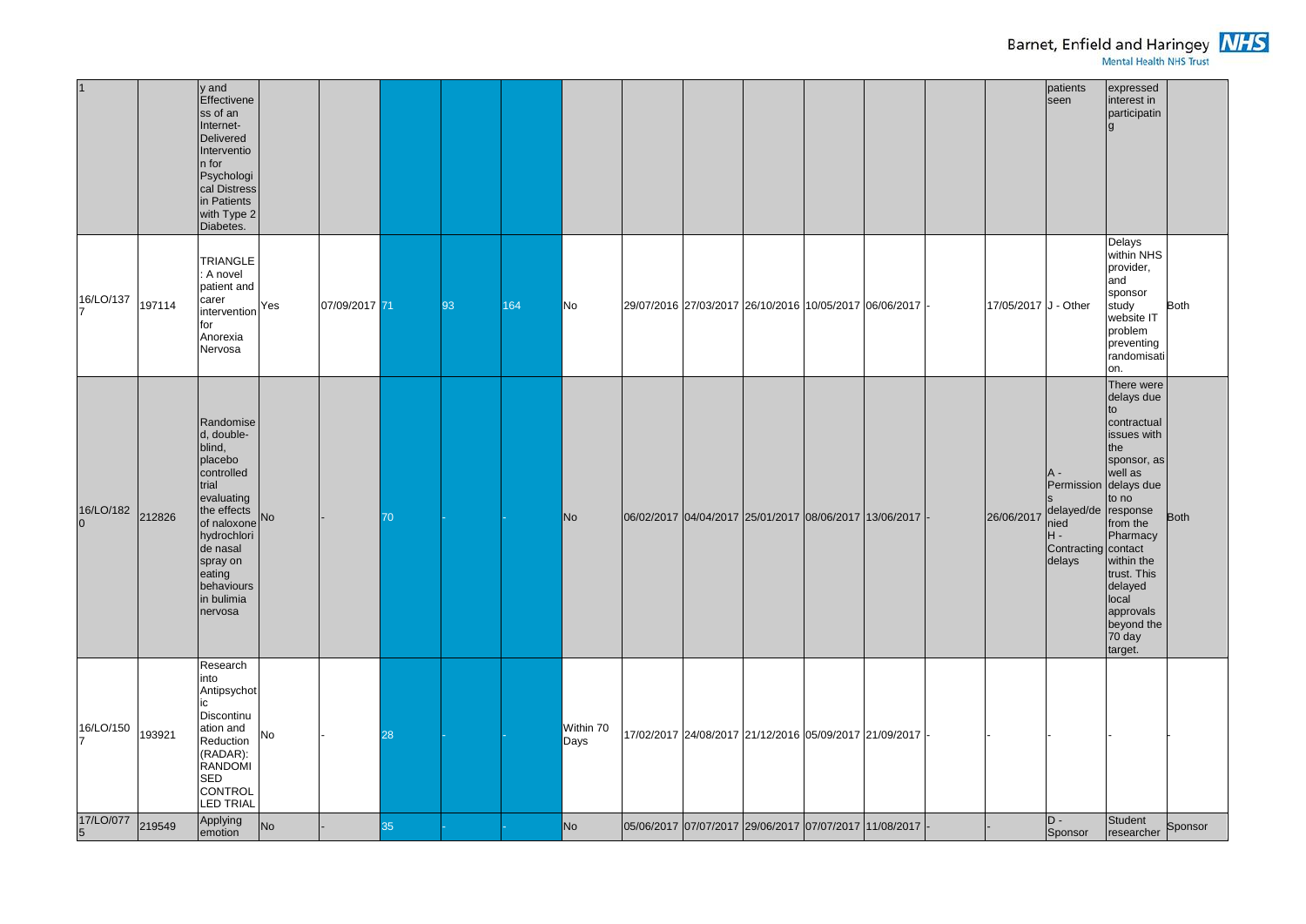|                             |        | y and<br>Effectivene<br>ss of an<br>Internet-<br>Delivered<br>Interventio<br>$ n $ for<br>Psychologi<br>cal Distress<br>in Patients<br>with Type 2<br>Diabetes.                                              |    |               |    |    |     |                   |                                                               |  |                                                        |                      | patients<br>seen                                                                   | expressed<br>interest in<br>participatin                                                                                                                                                                                                             |             |
|-----------------------------|--------|--------------------------------------------------------------------------------------------------------------------------------------------------------------------------------------------------------------|----|---------------|----|----|-----|-------------------|---------------------------------------------------------------|--|--------------------------------------------------------|----------------------|------------------------------------------------------------------------------------|------------------------------------------------------------------------------------------------------------------------------------------------------------------------------------------------------------------------------------------------------|-------------|
| 16/LO/137                   | 197114 | <b>TRIANGLE</b><br>: A novel<br>patient and<br>carer<br>intervention <sup>Yes</sup><br>for<br>Anorexia<br>Nervosa                                                                                            |    | 07/09/2017 71 |    | 93 | 164 | No                | 29/07/2016  27/03/2017  26/10/2016  10/05/2017  06/06/2017  - |  |                                                        | 17/05/2017 J - Other |                                                                                    | Delays<br>within NHS<br>provider,<br>and<br>sponsor<br>study<br>website IT<br>problem<br>preventing<br>randomisati<br>on.                                                                                                                            | <b>Both</b> |
| 16/LO/182 212826            |        | Randomise<br>$d, double-$<br>blind,<br>placebo<br>controlled<br>trial<br>evaluating<br>the effects<br>of naloxone No<br>hydrochlori<br>de nasal<br>spray on<br>eating<br>behaviours<br>in bulimia<br>nervosa |    |               | 70 |    |     | No                | 06/02/2017 04/04/2017 25/01/2017 08/06/2017 13/06/2017 -      |  |                                                        | 26/06/2017           | <b>A</b> -<br>delayed/de response<br>nied<br>IH -<br>Contracting contact<br>delays | There were<br>delays due<br>contractual<br>issues with<br>the<br>sponsor, as<br>well as<br>Permission delays due<br>to no<br>from the<br>Pharmacy<br>within the<br>trust. This<br>delayed<br>local<br>approvals<br>beyond the<br>$70$ day<br>target. | <b>Both</b> |
| 16/LO/150                   | 193921 | Research<br>into<br>Antipsychot<br>Discontinu<br>ation and<br>Reduction<br>$(RADAR)$ :<br>RANDOMI<br>SED<br>CONTROL<br>LED TRIAL                                                                             | No |               | 28 |    |     | Within 70<br>Days |                                                               |  | 17/02/2017 24/08/2017 21/12/2016 05/09/2017 21/09/2017 |                      |                                                                                    |                                                                                                                                                                                                                                                      |             |
| 17/LO/077<br>$\overline{5}$ | 219549 | Applying<br>emotion                                                                                                                                                                                          | No |               | 35 |    |     | No                | 05/06/2017 07/07/2017 29/06/2017 07/07/2017 11/08/2017        |  |                                                        |                      | D -<br>Sponsor                                                                     | Student<br>researcher                                                                                                                                                                                                                                | Sponsor     |



## Barnet, Enfield and Haringey **NHS**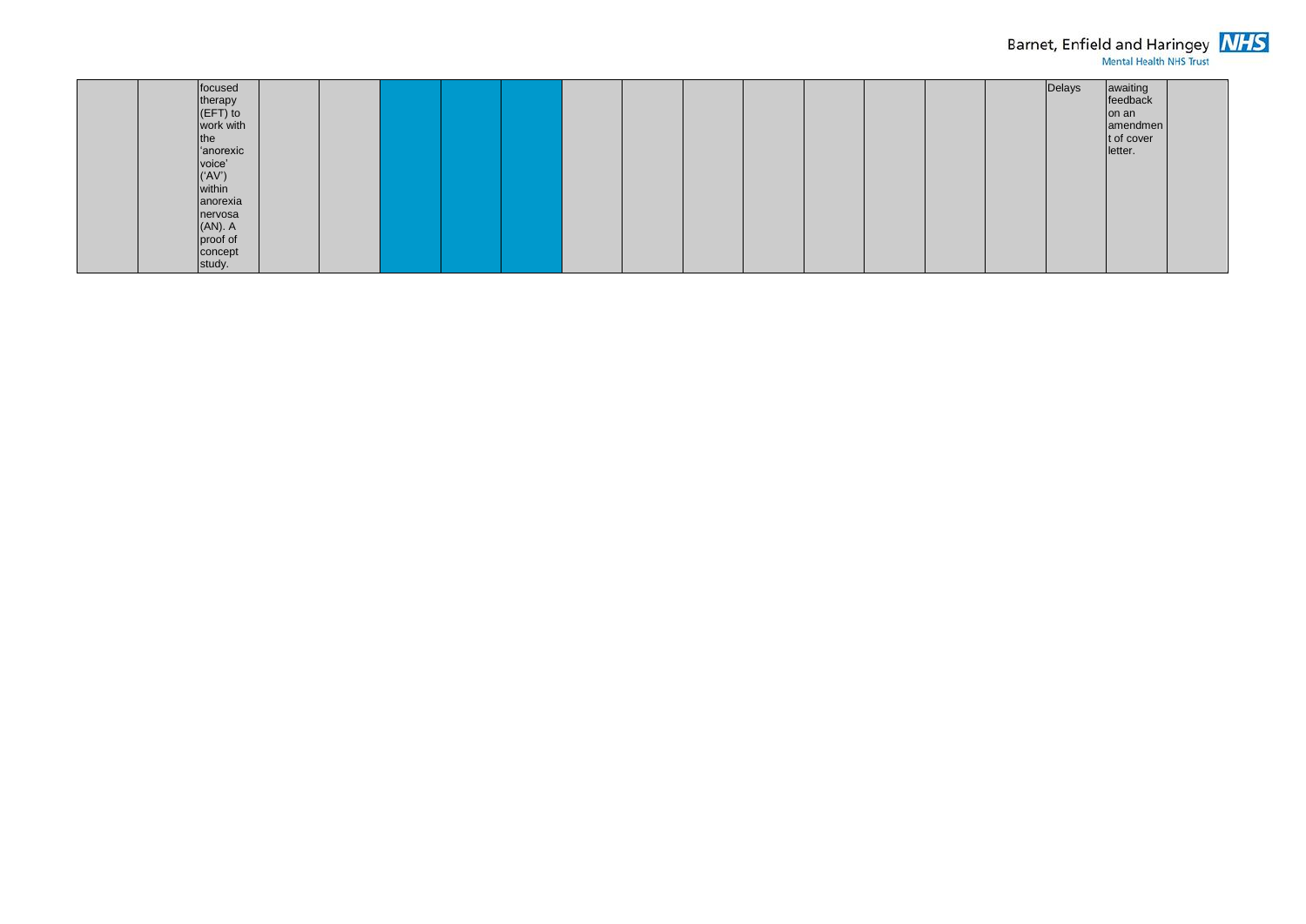| focused<br>therapy<br>$ $ (EFT) to<br>work with<br>the<br>anorexic<br>voice'<br>$(Y^{\prime}$<br>within<br>anorexia<br>nervosa<br>$(AN)$ . A |  |  |  |  |  |  |
|----------------------------------------------------------------------------------------------------------------------------------------------|--|--|--|--|--|--|
| proof of<br>concept<br>study.                                                                                                                |  |  |  |  |  |  |



## Barnet, Enfield and Haringey **NHS**

| Delays | awaiting<br>feedback<br>on an<br>amendmen<br>t of cover<br>letter. |  |
|--------|--------------------------------------------------------------------|--|
|--------|--------------------------------------------------------------------|--|